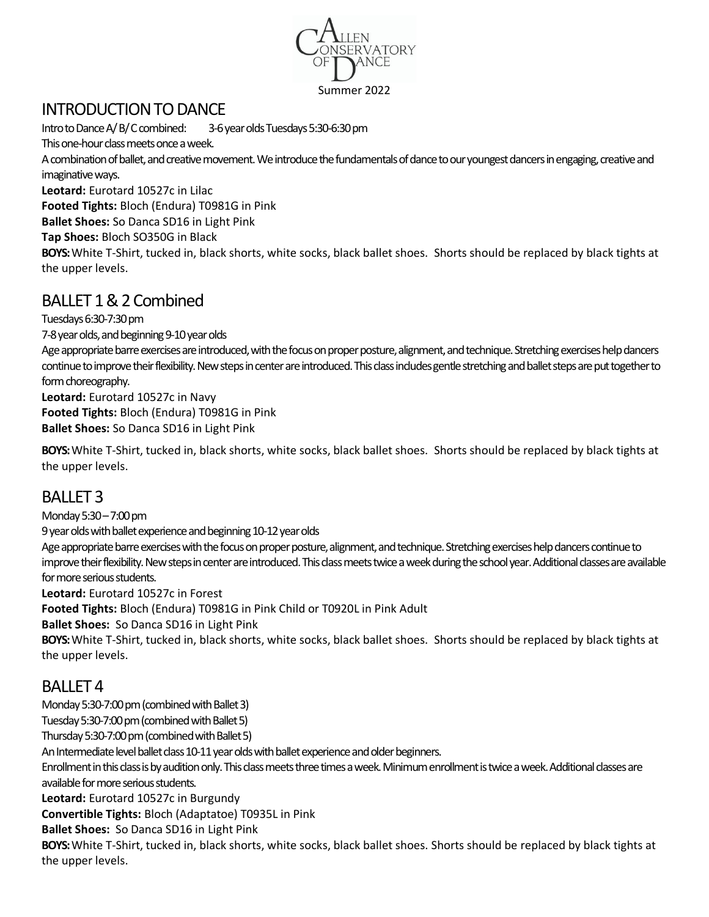

#### Summer 2022

## INTRODUCTION TO DANCE

Intro to Dance A/ B/ C combined: 3-6 year olds Tuesdays 5:30-6:30 pm This one-hour class meets once a week. A combination of ballet, and creative movement. We introduce the fundamentals of dance to our youngest dancers in engaging, creative and imaginative ways. **Leotard:** Eurotard 10527c in Lilac

**Footed Tights:** Bloch (Endura) T0981G in Pink **Ballet Shoes:** So Danca SD16 in Light Pink

**Tap Shoes:** Bloch SO350G in Black

**BOYS:**White T-Shirt, tucked in, black shorts, white socks, black ballet shoes. Shorts should be replaced by black tights at the upper levels.

# BALLET 1 & 2 Combined

Tuesdays 6:30-7:30 pm 7-8 year olds, and beginning 9-10 year olds

Age appropriate barre exercises are introduced, with the focus on proper posture, alignment, and technique. Stretching exercises help dancers continue to improve their flexibility. New steps in center are introduced. This class includes gentle stretching and ballet steps areput together to form choreography.

**Leotard:** Eurotard 10527c in Navy **Footed Tights:** Bloch (Endura) T0981G in Pink **Ballet Shoes:** So Danca SD16 in Light Pink

**BOYS:**White T-Shirt, tucked in, black shorts, white socks, black ballet shoes. Shorts should be replaced by black tights at the upper levels.

# BALLET 3

Monday 5:30 –7:00 pm

9 year olds with ballet experience and beginning 10-12 year olds

Age appropriate barre exercises with the focus on proper posture, alignment, and technique. Stretching exercises help dancers continue to improve their flexibility. New steps in center are introduced. This class meets twice a week during the school year. Additional classes are available for more serious students.

**Leotard:** Eurotard 10527c in Forest

**Footed Tights:** Bloch (Endura) T0981G in Pink Child or T0920L in Pink Adult

**Ballet Shoes:** So Danca SD16 in Light Pink

**BOYS:**White T-Shirt, tucked in, black shorts, white socks, black ballet shoes. Shorts should be replaced by black tights at the upper levels.

#### BALLET 4

Monday 5:30-7:00 pm (combined with Ballet 3) Tuesday 5:30-7:00 pm (combined with Ballet 5) Thursday 5:30-7:00 pm (combined with Ballet 5) An Intermediate level ballet class 10-11 year olds with ballet experience and older beginners. Enrollment in this class is by audition only. This class meets three times a week. Minimum enrollment is twice a week. Additional classes are available for more serious students. **Leotard:** Eurotard 10527c in Burgundy **Convertible Tights:** Bloch (Adaptatoe) T0935L in Pink **Ballet Shoes:** So Danca SD16 in Light Pink **BOYS:**White T-Shirt, tucked in, black shorts, white socks, black ballet shoes. Shorts should be replaced by black tights at the upper levels.